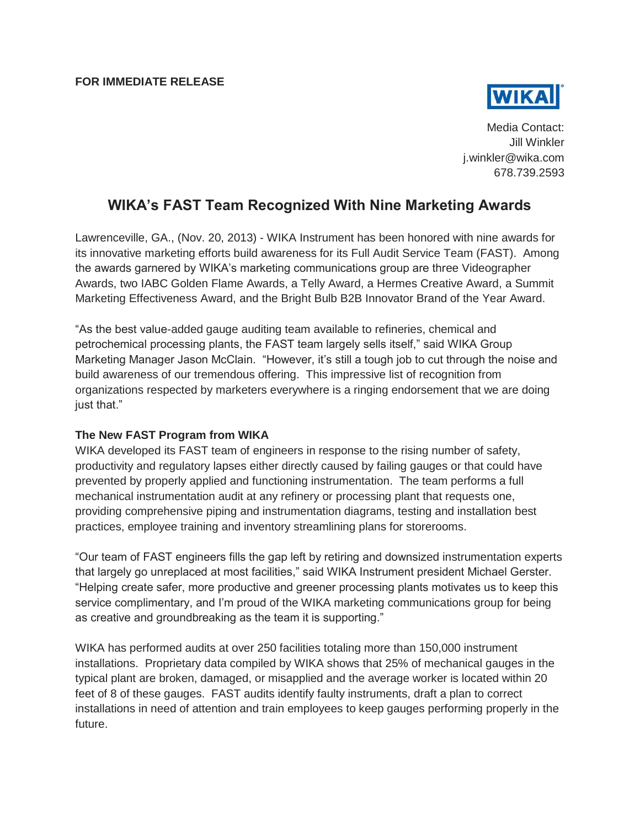

Media Contact: Jill Winkler j.winkler@wika.com 678.739.2593

## **WIKA's FAST Team Recognized With Nine Marketing Awards**

Lawrenceville, GA., (Nov. 20, 2013) - WIKA Instrument has been honored with nine awards for its innovative marketing efforts build awareness for its Full Audit Service Team (FAST). Among the awards garnered by WIKA's marketing communications group are three Videographer Awards, two IABC Golden Flame Awards, a Telly Award, a Hermes Creative Award, a Summit Marketing Effectiveness Award, and the Bright Bulb B2B Innovator Brand of the Year Award.

"As the best value-added gauge auditing team available to refineries, chemical and petrochemical processing plants, the FAST team largely sells itself," said WIKA Group Marketing Manager Jason McClain. "However, it's still a tough job to cut through the noise and build awareness of our tremendous offering. This impressive list of recognition from organizations respected by marketers everywhere is a ringing endorsement that we are doing just that."

## **The New FAST Program from WIKA**

WIKA developed its FAST team of engineers in response to the rising number of safety, productivity and regulatory lapses either directly caused by failing gauges or that could have prevented by properly applied and functioning instrumentation. The team performs a full mechanical instrumentation audit at any refinery or processing plant that requests one, providing comprehensive piping and instrumentation diagrams, testing and installation best practices, employee training and inventory streamlining plans for storerooms.

"Our team of FAST engineers fills the gap left by retiring and downsized instrumentation experts that largely go unreplaced at most facilities," said WIKA Instrument president Michael Gerster. "Helping create safer, more productive and greener processing plants motivates us to keep this service complimentary, and I'm proud of the WIKA marketing communications group for being as creative and groundbreaking as the team it is supporting."

WIKA has performed audits at over 250 facilities totaling more than 150,000 instrument installations. Proprietary data compiled by WIKA shows that 25% of mechanical gauges in the typical plant are broken, damaged, or misapplied and the average worker is located within 20 feet of 8 of these gauges. FAST audits identify faulty instruments, draft a plan to correct installations in need of attention and train employees to keep gauges performing properly in the future.